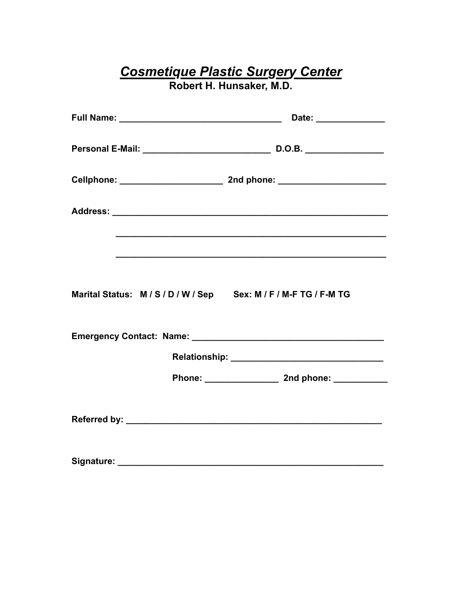## **Cosmetique Plastic Surgery Center<br>Robert H. Hunsaker, M.D.**

|                                                                  | Date: _______________ |
|------------------------------------------------------------------|-----------------------|
|                                                                  |                       |
|                                                                  |                       |
|                                                                  |                       |
|                                                                  |                       |
| Marital Status: M / S / D / W / Sep Sex: M / F / M-F TG / F-M TG |                       |
|                                                                  |                       |
|                                                                  |                       |
|                                                                  |                       |
|                                                                  |                       |
| Signature:                                                       |                       |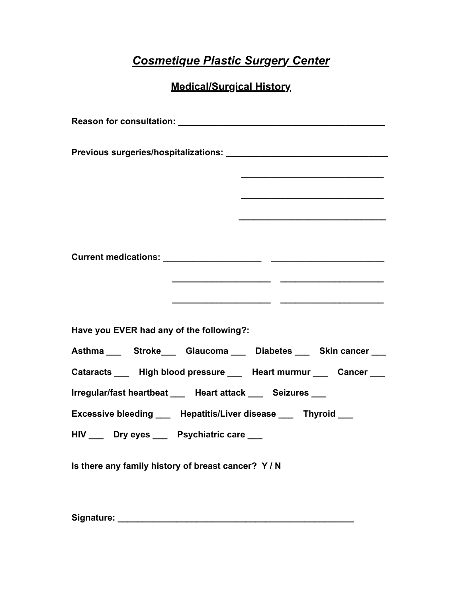## *Cosmetique Plastic Surgery Center*

**Medical/Surgical History**

| <u> 1989 - Johann John Harry Harry Harry Harry Harry Harry Harry Harry Harry Harry Harry Harry Harry Harry Harry H</u> |  |  |
|------------------------------------------------------------------------------------------------------------------------|--|--|
|                                                                                                                        |  |  |
|                                                                                                                        |  |  |
|                                                                                                                        |  |  |
|                                                                                                                        |  |  |
| Have you EVER had any of the following?:                                                                               |  |  |
| Asthma ___ Stroke___ Glaucoma ___ Diabetes ___ Skin cancer ___                                                         |  |  |
| Cataracts ____ High blood pressure ___ Heart murmur ___ Cancer ___                                                     |  |  |
| Irregular/fast heartbeat ___ Heart attack ___ Seizures ___                                                             |  |  |
| Excessive bleeding ____ Hepatitis/Liver disease ___ Thyroid ___                                                        |  |  |
| HIV __ Dry eyes __ Psychiatric care __                                                                                 |  |  |
| Is there any family history of breast cancer? Y/N                                                                      |  |  |

**Signature: \_\_\_\_\_\_\_\_\_\_\_\_\_\_\_\_\_\_\_\_\_\_\_\_\_\_\_\_\_\_\_\_\_\_\_\_\_\_\_\_\_\_\_\_\_\_\_\_**